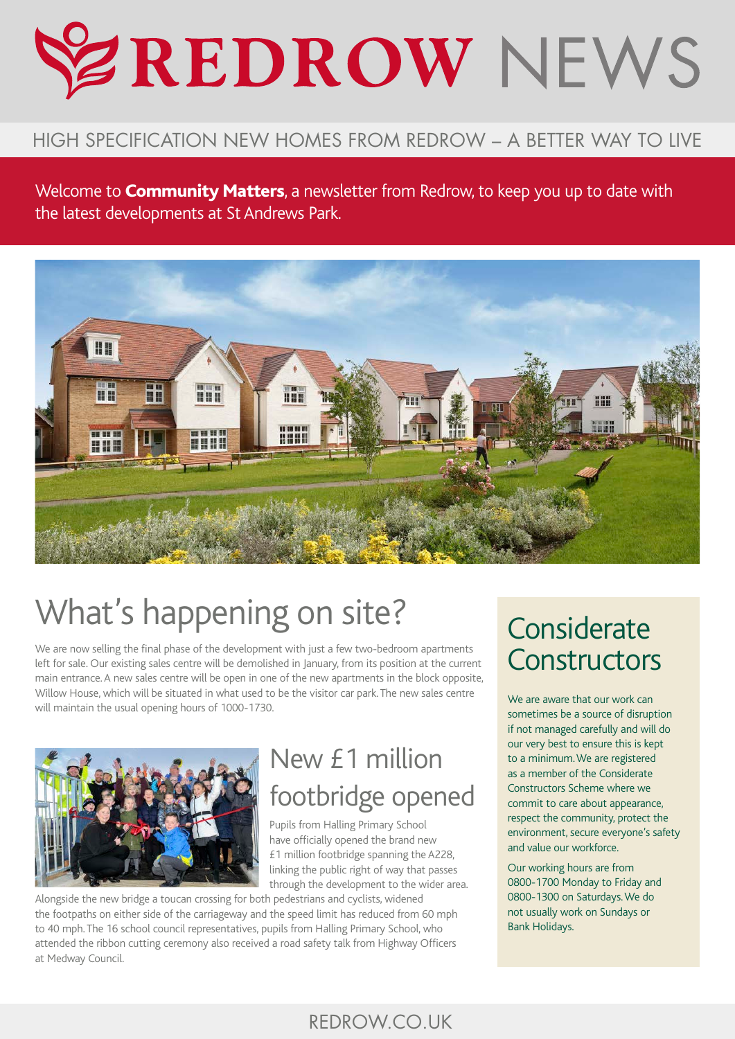# **PREDROW NEWS**

### HIGH SPECIFICATION NEW HOMES FROM REDROW – A BETTER WAY TO LIVE

Welcome to **Community Matters**, a newsletter from Redrow, to keep you up to date with the latest developments at St Andrews Park.



# What's happening on site?<br>We are now selling the final phase of the development with just a few two-bedroom apartments<br>Left for sale. Our existing sales centre will be demolished in January, from its position at the curren

We are now selling the final phase of the development with just a few two-bedroom apartments<br>left for sale. Our existing sales centre will be demolished in January, from its position at the current **CONSTRUCTORS** main entrance. A new sales centre will be open in one of the new apartments in the block opposite, Willow House, which will be situated in what used to be the visitor car park. The new sales centre will maintain the usual opening hours of 1000-1730.



# New £1 million footbridge opened

Pupils from Halling Primary School have officially opened the brand new £1 million footbridge spanning the A228, linking the public right of way that passes through the development to the wider area.

Alongside the new bridge a toucan crossing for both pedestrians and cyclists, widened the footpaths on either side of the carriageway and the speed limit has reduced from 60 mph to 40 mph. The 16 school council representatives, pupils from Halling Primary School, who attended the ribbon cutting ceremony also received a road safety talk from Highway Officers at Medway Council.

We are aware that our work can sometimes be a source of disruption if not managed carefully and will do our very best to ensure this is kept to a minimum. We are registered as a member of the Considerate Constructors Scheme where we commit to care about appearance, respect the community, protect the environment, secure everyone's safety and value our workforce.

Our working hours are from 0800-1700 Monday to Friday and 0800-1300 on Saturdays. We do not usually work on Sundays or Bank Holidays.

### REDROW.CO.UK